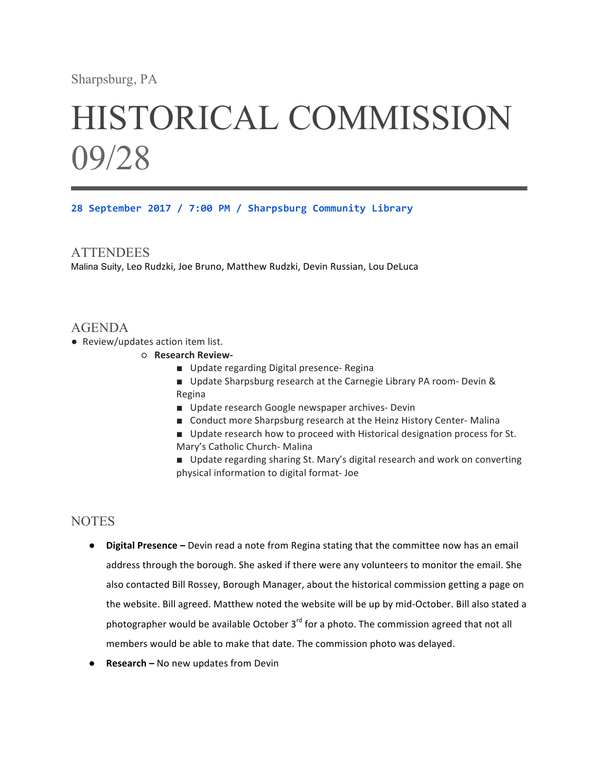## Sharpsburg, PA

# HISTORICAL COMMISSION 09/28

**28 September 2017 / 7:00 PM / Sharpsburg Community Library**

#### **ATTENDEES**

Malina Suity, Leo Rudzki, Joe Bruno, Matthew Rudzki, Devin Russian, Lou DeLuca

### AGENDA

- Review/updates action item list.
	- ○ **Research Review-**
		- Update regarding Digital presence- Regina
		- Update Sharpsburg research at the Carnegie Library PA room- Devin & Regina
		- Update research Google newspaper archives- Devin
		- Conduct more Sharpsburg research at the Heinz History Center- Malina
		- Update research how to proceed with Historical designation process for St. Mary's Catholic Church- Malina
		- Update regarding sharing St. Mary's digital research and work on converting physical information to digital format- Joe

## **NOTES**

- **•** Digital Presence Devin read a note from Regina stating that the committee now has an email address through the borough. She asked if there were any volunteers to monitor the email. She also contacted Bill Rossey, Borough Manager, about the historical commission getting a page on the website. Bill agreed. Matthew noted the website will be up by mid-October. Bill also stated a photographer would be available October  $3^{rd}$  for a photo. The commission agreed that not all members would be able to make that date. The commission photo was delayed.
- **Research** No new updates from Devin